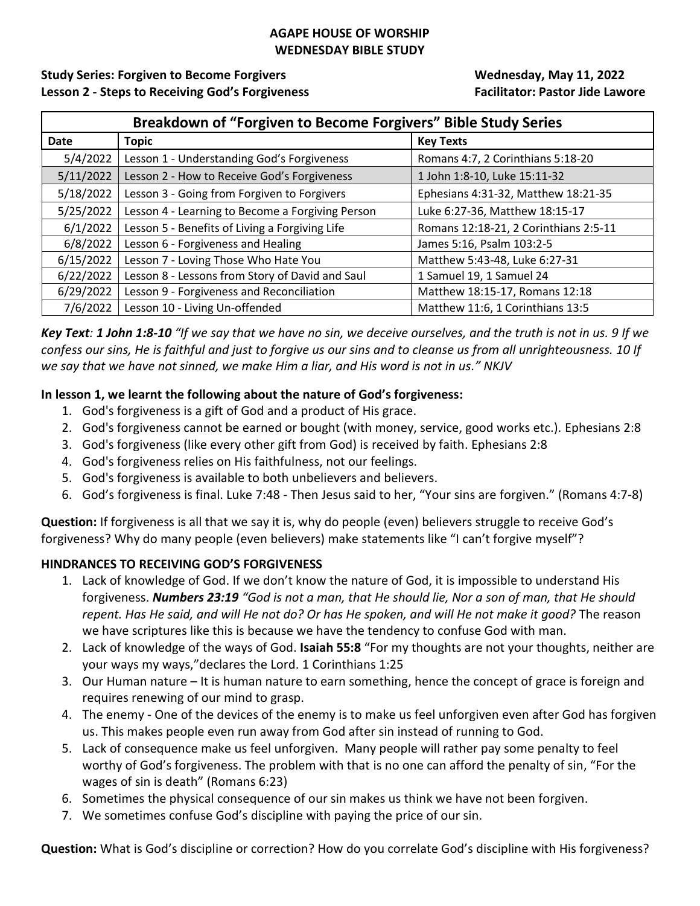#### **AGAPE HOUSE OF WORSHIP WEDNESDAY BIBLE STUDY**

# Study Series: Forgiven to Become Forgivers **Manual Example 2018** Wednesday, May 11, 2022 **Lesson 2 - Steps to Receiving God's Forgiveness Facilitator: Pastor Jide Lawore**

| Breakdown of "Forgiven to Become Forgivers" Bible Study Series |                                                  |                                       |
|----------------------------------------------------------------|--------------------------------------------------|---------------------------------------|
| Date                                                           | <b>Topic</b>                                     | <b>Key Texts</b>                      |
| 5/4/2022                                                       | Lesson 1 - Understanding God's Forgiveness       | Romans 4:7, 2 Corinthians 5:18-20     |
| 5/11/2022                                                      | Lesson 2 - How to Receive God's Forgiveness      | 1 John 1:8-10, Luke 15:11-32          |
| 5/18/2022                                                      | Lesson 3 - Going from Forgiven to Forgivers      | Ephesians 4:31-32, Matthew 18:21-35   |
| 5/25/2022                                                      | Lesson 4 - Learning to Become a Forgiving Person | Luke 6:27-36, Matthew 18:15-17        |
| 6/1/2022                                                       | Lesson 5 - Benefits of Living a Forgiving Life   | Romans 12:18-21, 2 Corinthians 2:5-11 |
| 6/8/2022                                                       | Lesson 6 - Forgiveness and Healing               | James 5:16, Psalm 103:2-5             |
| 6/15/2022                                                      | Lesson 7 - Loving Those Who Hate You             | Matthew 5:43-48, Luke 6:27-31         |
| 6/22/2022                                                      | Lesson 8 - Lessons from Story of David and Saul  | 1 Samuel 19, 1 Samuel 24              |
| 6/29/2022                                                      | Lesson 9 - Forgiveness and Reconciliation        | Matthew 18:15-17, Romans 12:18        |
| 7/6/2022                                                       | Lesson 10 - Living Un-offended                   | Matthew 11:6, 1 Corinthians 13:5      |

*Key Text: 1 John 1:8-10 "If we say that we have no sin, we deceive ourselves, and the truth is not in us. 9 If we confess our sins, He is faithful and just to forgive us our sins and to cleanse us from all unrighteousness. 10 If we say that we have not sinned, we make Him a liar, and His word is not in us." NKJV*

# **In lesson 1, we learnt the following about the nature of God's forgiveness:**

- 1. God's forgiveness is a gift of God and a product of His grace.
- 2. God's forgiveness cannot be earned or bought (with money, service, good works etc.). Ephesians 2:8
- 3. God's forgiveness (like every other gift from God) is received by faith. Ephesians 2:8
- 4. God's forgiveness relies on His faithfulness, not our feelings.
- 5. God's forgiveness is available to both unbelievers and believers.
- 6. God's forgiveness is final. Luke 7:48 Then Jesus said to her, "Your sins are forgiven." (Romans 4:7-8)

**Question:** If forgiveness is all that we say it is, why do people (even) believers struggle to receive God's forgiveness? Why do many people (even believers) make statements like "I can't forgive myself"?

### **HINDRANCES TO RECEIVING GOD'S FORGIVENESS**

- 1. Lack of knowledge of God. If we don't know the nature of God, it is impossible to understand His forgiveness. *Numbers 23:19 "God is not a man, that He should lie, Nor a son of man, that He should repent. Has He said, and will He not do? Or has He spoken, and will He not make it good?* The reason we have scriptures like this is because we have the tendency to confuse God with man.
- 2. Lack of knowledge of the ways of God. **Isaiah 55:8** "For my thoughts are not your thoughts, neither are your ways my ways,"declares the Lord. 1 Corinthians 1:25
- 3. Our Human nature It is human nature to earn something, hence the concept of grace is foreign and requires renewing of our mind to grasp.
- 4. The enemy One of the devices of the enemy is to make us feel unforgiven even after God has forgiven us. This makes people even run away from God after sin instead of running to God.
- 5. Lack of consequence make us feel unforgiven. Many people will rather pay some penalty to feel worthy of God's forgiveness. The problem with that is no one can afford the penalty of sin, "For the wages of sin is death" (Romans 6:23)
- 6. Sometimes the physical consequence of our sin makes us think we have not been forgiven.
- 7. We sometimes confuse God's discipline with paying the price of our sin.

**Question:** What is God's discipline or correction? How do you correlate God's discipline with His forgiveness?